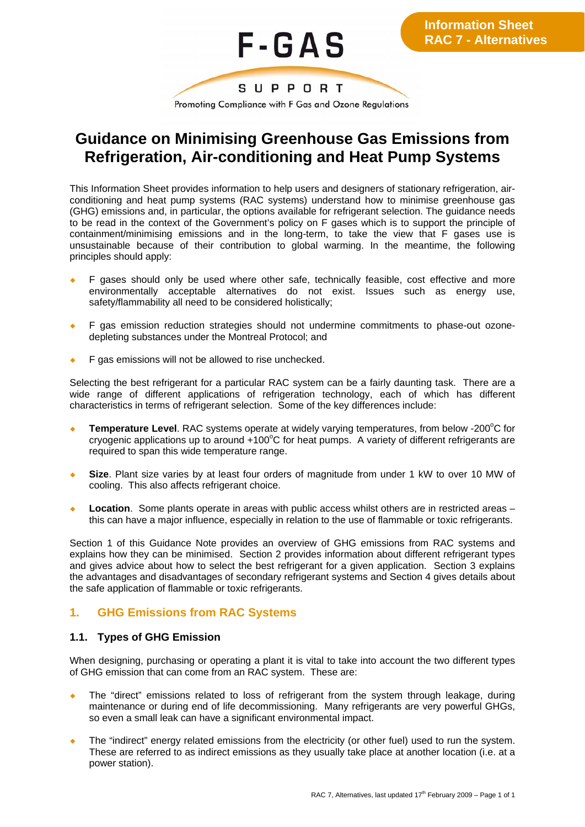

# **Guidance on Minimising Greenhouse Gas Emissions from Refrigeration, Air-conditioning and Heat Pump Systems**

This Information Sheet provides information to help users and designers of stationary refrigeration, airconditioning and heat pump systems (RAC systems) understand how to minimise greenhouse gas (GHG) emissions and, in particular, the options available for refrigerant selection. The guidance needs to be read in the context of the Government's policy on F gases which is to support the principle of containment/minimising emissions and in the long-term, to take the view that F gases use is unsustainable because of their contribution to global warming. In the meantime, the following principles should apply:

- ¡ F gases should only be used where other safe, technically feasible, cost effective and more environmentally acceptable alternatives do not exist. Issues such as energy use, safety/flammability all need to be considered holistically;
- ¡ F gas emission reduction strategies should not undermine commitments to phase-out ozonedepleting substances under the Montreal Protocol; and
- ¡ F gas emissions will not be allowed to rise unchecked.

Selecting the best refrigerant for a particular RAC system can be a fairly daunting task. There are a wide range of different applications of refrigeration technology, each of which has different characteristics in terms of refrigerant selection. Some of the key differences include:

- ◆ Temperature Level. RAC systems operate at widely varying temperatures, from below -200°C for cryogenic applications up to around  $+100^{\circ}$ C for heat pumps. A variety of different refrigerants are required to span this wide temperature range.
- **Size**. Plant size varies by at least four orders of magnitude from under 1 kW to over 10 MW of cooling. This also affects refrigerant choice.
- **Location**. Some plants operate in areas with public access whilst others are in restricted areas this can have a major influence, especially in relation to the use of flammable or toxic refrigerants.

Section 1 of this Guidance Note provides an overview of GHG emissions from RAC systems and explains how they can be minimised. Section 2 provides information about different refrigerant types and gives advice about how to select the best refrigerant for a given application. Section 3 explains the advantages and disadvantages of secondary refrigerant systems and Section 4 gives details about the safe application of flammable or toxic refrigerants.

# **1. GHG Emissions from RAC Systems**

# **1.1. Types of GHG Emission**

When designing, purchasing or operating a plant it is vital to take into account the two different types of GHG emission that can come from an RAC system. These are:

- The "direct" emissions related to loss of refrigerant from the system through leakage, during maintenance or during end of life decommissioning. Many refrigerants are very powerful GHGs, so even a small leak can have a significant environmental impact.
- The "indirect" energy related emissions from the electricity (or other fuel) used to run the system. These are referred to as indirect emissions as they usually take place at another location (i.e. at a power station).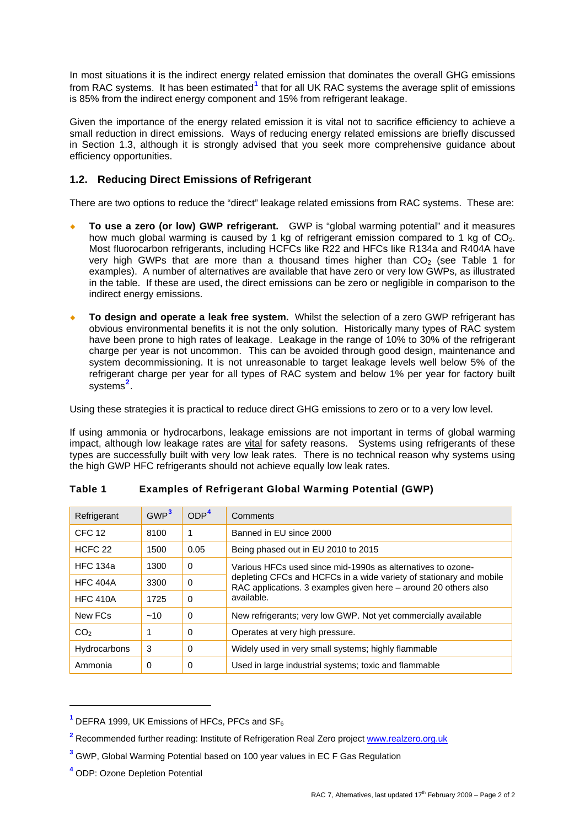In most situations it is the indirect energy related emission that dominates the overall GHG emissions from RAC systems. It has been estimated<sup>[1](#page-1-0)</sup> that for all UK RAC systems the average split of emissions is 85% from the indirect energy component and 15% from refrigerant leakage.

Given the importance of the energy related emission it is vital not to sacrifice efficiency to achieve a small reduction in direct emissions. Ways of reducing energy related emissions are briefly discussed in Section 1.3, although it is strongly advised that you seek more comprehensive guidance about efficiency opportunities.

# **1.2. Reducing Direct Emissions of Refrigerant**

There are two options to reduce the "direct" leakage related emissions from RAC systems. These are:

- ¡ **To use a zero (or low) GWP refrigerant.** GWP is "global warming potential" and it measures how much global warming is caused by 1 kg of refrigerant emission compared to 1 kg of  $CO<sub>2</sub>$ . Most fluorocarbon refrigerants, including HCFCs like R22 and HFCs like R134a and R404A have very high GWPs that are more than a thousand times higher than  $CO<sub>2</sub>$  (see Table 1 for examples). A number of alternatives are available that have zero or very low GWPs, as illustrated in the table. If these are used, the direct emissions can be zero or negligible in comparison to the indirect energy emissions.
- To design and operate a leak free system. Whilst the selection of a zero GWP refrigerant has obvious environmental benefits it is not the only solution. Historically many types of RAC system have been prone to high rates of leakage. Leakage in the range of 10% to 30% of the refrigerant charge per year is not uncommon. This can be avoided through good design, maintenance and system decommissioning. It is not unreasonable to target leakage levels well below 5% of the refrigerant charge per year for all types of RAC system and below 1% per year for factory built systems**[2](#page-1-1)** .

Using these strategies it is practical to reduce direct GHG emissions to zero or to a very low level.

If using ammonia or hydrocarbons, leakage emissions are not important in terms of global warming impact, although low leakage rates are vital for safety reasons. Systems using refrigerants of these types are successfully built with very low leak rates. There is no technical reason why systems using the high GWP HFC refrigerants should not achieve equally low leak rates.

| Refrigerant        | GWP <sup>3</sup> | ODP <sup>4</sup> | Comments                                                                                                                                                                                                            |  |
|--------------------|------------------|------------------|---------------------------------------------------------------------------------------------------------------------------------------------------------------------------------------------------------------------|--|
| <b>CFC 12</b>      | 8100             | 1                | Banned in EU since 2000                                                                                                                                                                                             |  |
| HCEC <sub>22</sub> | 1500             | 0.05             | Being phased out in EU 2010 to 2015                                                                                                                                                                                 |  |
| <b>HFC 134a</b>    | 1300             | $\Omega$         | Various HFCs used since mid-1990s as alternatives to ozone-<br>depleting CFCs and HCFCs in a wide variety of stationary and mobile<br>RAC applications. 3 examples given here – around 20 others also<br>available. |  |
| <b>HFC 404A</b>    | 3300             | $\Omega$         |                                                                                                                                                                                                                     |  |
| <b>HFC 410A</b>    | 1725             | $\Omega$         |                                                                                                                                                                                                                     |  |
| New FCs            | ~10              | $\Omega$         | New refrigerants; very low GWP. Not yet commercially available                                                                                                                                                      |  |
| CO <sub>2</sub>    |                  | 0                | Operates at very high pressure.                                                                                                                                                                                     |  |
| Hydrocarbons       | 3                | $\Omega$         | Widely used in very small systems; highly flammable                                                                                                                                                                 |  |
| Ammonia            | $\Omega$         | $\Omega$         | Used in large industrial systems; toxic and flammable                                                                                                                                                               |  |

# **Table 1 Examples of Refrigerant Global Warming Potential (GWP)**

<span id="page-1-3"></span>**4** ODP: Ozone Depletion Potential

<span id="page-1-0"></span><sup>&</sup>lt;sup>1</sup> DEFRA 1999, UK Emissions of HFCs, PFCs and SF<sub>6</sub>

<span id="page-1-1"></span><sup>&</sup>lt;sup>2</sup> Recommended further reading: Institute of Refrigeration Real Zero project www.realzero.org.uk

<span id="page-1-2"></span>**<sup>3</sup>** GWP, Global Warming Potential based on 100 year values in EC F Gas Regulation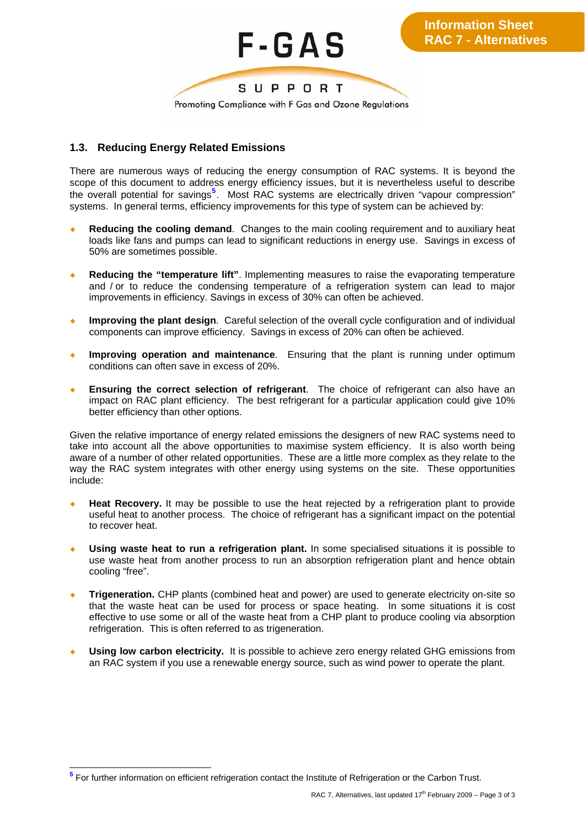

# **1.3. Reducing Energy Related Emissions**

There are numerous ways of reducing the energy consumption of RAC systems. It is beyond the scope of this document to address energy efficiency issues, but it is nevertheless useful to describe the overall potential for savings**[5](#page-2-0)** . Most RAC systems are electrically driven "vapour compression" systems. In general terms, efficiency improvements for this type of system can be achieved by:

- **Reducing the cooling demand.** Changes to the main cooling requirement and to auxiliary heat loads like fans and pumps can lead to significant reductions in energy use. Savings in excess of 50% are sometimes possible.
- **Reducing the "temperature lift".** Implementing measures to raise the evaporating temperature and / or to reduce the condensing temperature of a refrigeration system can lead to major improvements in efficiency. Savings in excess of 30% can often be achieved.
- **Improving the plant design.** Careful selection of the overall cycle configuration and of individual components can improve efficiency. Savings in excess of 20% can often be achieved.
- **Improving operation and maintenance**. Ensuring that the plant is running under optimum conditions can often save in excess of 20%.
- **Ensuring the correct selection of refrigerant**. The choice of refrigerant can also have an impact on RAC plant efficiency. The best refrigerant for a particular application could give 10% better efficiency than other options.

Given the relative importance of energy related emissions the designers of new RAC systems need to take into account all the above opportunities to maximise system efficiency. It is also worth being aware of a number of other related opportunities. These are a little more complex as they relate to the way the RAC system integrates with other energy using systems on the site. These opportunities include:

- **Heat Recovery.** It may be possible to use the heat rejected by a refrigeration plant to provide useful heat to another process. The choice of refrigerant has a significant impact on the potential to recover heat.
- **Using waste heat to run a refrigeration plant.** In some specialised situations it is possible to use waste heat from another process to run an absorption refrigeration plant and hence obtain cooling "free".
- **Trigeneration.** CHP plants (combined heat and power) are used to generate electricity on-site so that the waste heat can be used for process or space heating. In some situations it is cost effective to use some or all of the waste heat from a CHP plant to produce cooling via absorption refrigeration. This is often referred to as trigeneration.
- **Using low carbon electricity.** It is possible to achieve zero energy related GHG emissions from an RAC system if you use a renewable energy source, such as wind power to operate the plant.

<span id="page-2-0"></span> **5** For further information on efficient refrigeration contact the Institute of Refrigeration or the Carbon Trust.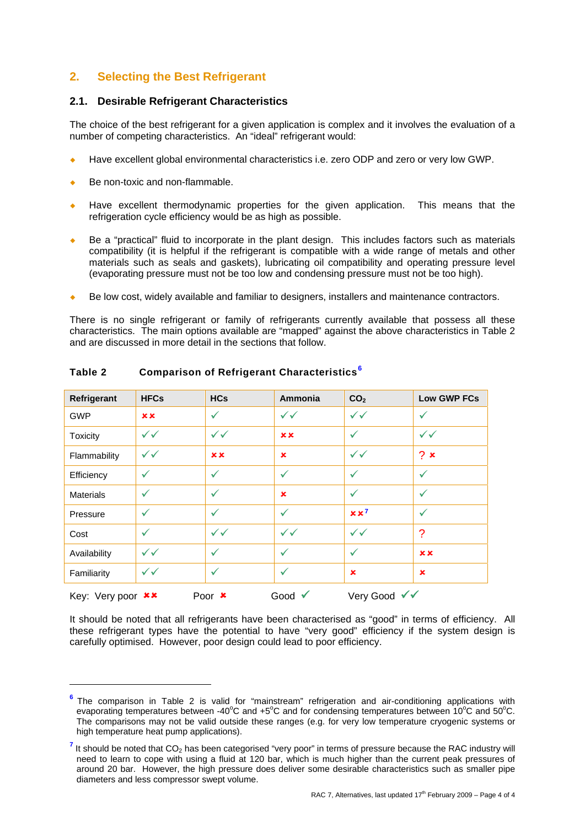# **2. Selecting the Best Refrigerant**

#### **2.1. Desirable Refrigerant Characteristics**

The choice of the best refrigerant for a given application is complex and it involves the evaluation of a number of competing characteristics. An "ideal" refrigerant would:

- ¡ Have excellent global environmental characteristics i.e. zero ODP and zero or very low GWP.
- Be non-toxic and non-flammable.

-

- Have excellent thermodynamic properties for the given application. This means that the refrigeration cycle efficiency would be as high as possible.
- Be a "practical" fluid to incorporate in the plant design. This includes factors such as materials compatibility (it is helpful if the refrigerant is compatible with a wide range of metals and other materials such as seals and gaskets), lubricating oil compatibility and operating pressure level (evaporating pressure must not be too low and condensing pressure must not be too high).
- Be low cost, widely available and familiar to designers, installers and maintenance contractors.

There is no single refrigerant or family of refrigerants currently available that possess all these characteristics. The main options available are "mapped" against the above characteristics in Table 2 and are discussed in more detail in the sections that follow.

| Refrigerant                                                                                     | <b>HFCs</b>  | <b>HCs</b>   | Ammonia      | CO <sub>2</sub> | <b>Low GWP FCs</b> |
|-------------------------------------------------------------------------------------------------|--------------|--------------|--------------|-----------------|--------------------|
| <b>GWP</b>                                                                                      | <b>xx</b>    | ✓            | $\checkmark$ | $\checkmark$    | ✓                  |
| <b>Toxicity</b>                                                                                 | $\checkmark$ | $\checkmark$ | x x          | ✓               | $\checkmark$       |
| Flammability                                                                                    | $\checkmark$ | <b>xx</b>    | $\mathbf x$  | $\checkmark$    | 2x                 |
| Efficiency                                                                                      | ✓            | ✓            | $\checkmark$ | $\checkmark$    | ✓                  |
| <b>Materials</b>                                                                                | ✓            | $\checkmark$ | $\mathbf x$  | $\checkmark$    | ✓                  |
| Pressure                                                                                        | ✓            | ✓            | $\checkmark$ | $x x^7$         | $\checkmark$       |
| Cost                                                                                            | ✓            | $\checkmark$ | $\checkmark$ | $\checkmark$    | ?                  |
| Availability                                                                                    | $\checkmark$ | $\checkmark$ | $\checkmark$ | $\checkmark$    | <b>xx</b>          |
| Familiarity                                                                                     | $\checkmark$ | $\checkmark$ | ✓            | $\pmb{\times}$  | $\mathbf x$        |
| Very Good √√<br>Key: Very poor <b>**</b><br>Poor $\boldsymbol{\mathsf{x}}$<br>Good $\checkmark$ |              |              |              |                 |                    |

#### **Table 2 Comparison of Refrigerant Characteristics[6](#page-3-0)**

It should be noted that all refrigerants have been characterised as "good" in terms of efficiency. All these refrigerant types have the potential to have "very good" efficiency if the system design is carefully optimised. However, poor design could lead to poor efficiency.

<span id="page-3-0"></span>**<sup>6</sup>** The comparison in Table 2 is valid for "mainstream" refrigeration and air-conditioning applications with evaporating temperatures between -40°C and +5°C and for condensing temperatures between 10°C and 50°C. The comparisons may not be valid outside these ranges (e.g. for very low temperature cryogenic systems or high temperature heat pump applications).

<span id="page-3-1"></span><sup>&</sup>lt;sup>7</sup> It should be noted that CO<sub>2</sub> has been categorised "very poor" in terms of pressure because the RAC industry will need to learn to cope with using a fluid at 120 bar, which is much higher than the current peak pressures of around 20 bar. However, the high pressure does deliver some desirable characteristics such as smaller pipe diameters and less compressor swept volume.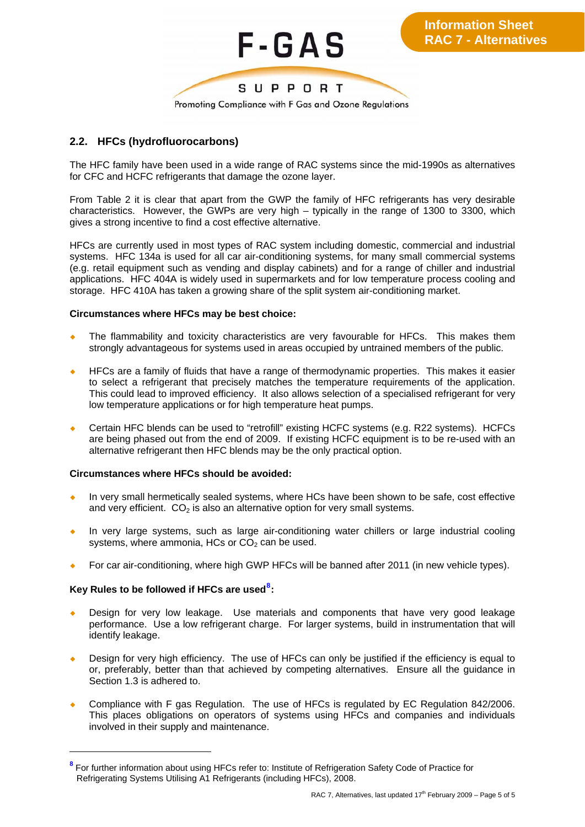

# **2.2. HFCs (hydrofluorocarbons)**

The HFC family have been used in a wide range of RAC systems since the mid-1990s as alternatives for CFC and HCFC refrigerants that damage the ozone layer.

From Table 2 it is clear that apart from the GWP the family of HFC refrigerants has very desirable characteristics. However, the GWPs are very high – typically in the range of 1300 to 3300, which gives a strong incentive to find a cost effective alternative.

HFCs are currently used in most types of RAC system including domestic, commercial and industrial systems. HFC 134a is used for all car air-conditioning systems, for many small commercial systems (e.g. retail equipment such as vending and display cabinets) and for a range of chiller and industrial applications. HFC 404A is widely used in supermarkets and for low temperature process cooling and storage. HFC 410A has taken a growing share of the split system air-conditioning market.

#### **Circumstances where HFCs may be best choice:**

- The flammability and toxicity characteristics are very favourable for HFCs. This makes them strongly advantageous for systems used in areas occupied by untrained members of the public.
- HFCs are a family of fluids that have a range of thermodynamic properties. This makes it easier to select a refrigerant that precisely matches the temperature requirements of the application. This could lead to improved efficiency. It also allows selection of a specialised refrigerant for very low temperature applications or for high temperature heat pumps.
- Certain HFC blends can be used to "retrofill" existing HCFC systems (e.g. R22 systems). HCFCs are being phased out from the end of 2009. If existing HCFC equipment is to be re-used with an alternative refrigerant then HFC blends may be the only practical option.

#### **Circumstances where HFCs should be avoided:**

- In very small hermetically sealed systems, where HCs have been shown to be safe, cost effective and very efficient.  $CO<sub>2</sub>$  is also an alternative option for very small systems.
- In very large systems, such as large air-conditioning water chillers or large industrial cooling systems, where ammonia, HCs or  $CO<sub>2</sub>$  can be used.
- For car air-conditioning, where high GWP HFCs will be banned after 2011 (in new vehicle types).

### **Key Rules to be followed if HFCs are used[8](#page-4-0) :**

- Design for very low leakage. Use materials and components that have very good leakage performance. Use a low refrigerant charge. For larger systems, build in instrumentation that will identify leakage.
- Design for very high efficiency. The use of HFCs can only be justified if the efficiency is equal to or, preferably, better than that achieved by competing alternatives. Ensure all the guidance in Section 1.3 is adhered to.
- Compliance with F gas Regulation. The use of HFCs is regulated by EC Regulation 842/2006. This places obligations on operators of systems using HFCs and companies and individuals involved in their supply and maintenance.

<span id="page-4-0"></span>**<sup>8</sup>** For further information about using HFCs refer to: Institute of Refrigeration Safety Code of Practice for Refrigerating Systems Utilising A1 Refrigerants (including HFCs), 2008.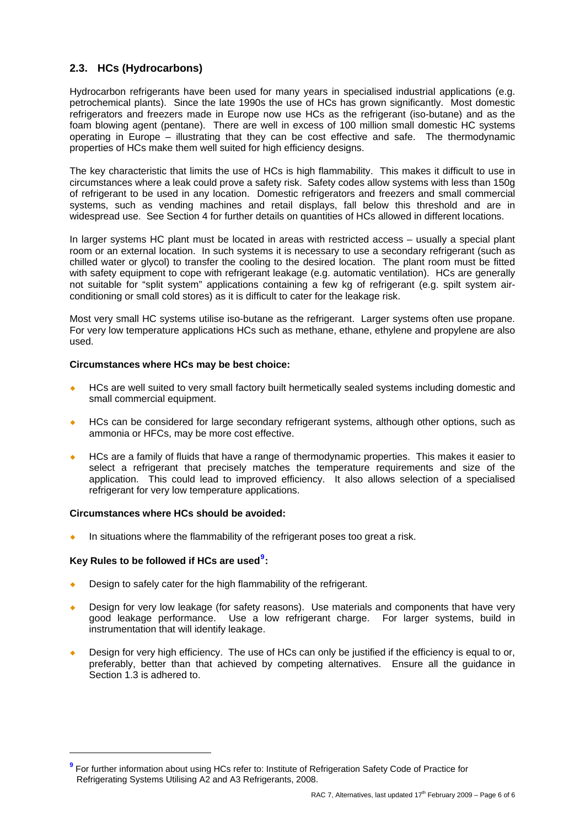# **2.3. HCs (Hydrocarbons)**

Hydrocarbon refrigerants have been used for many years in specialised industrial applications (e.g. petrochemical plants). Since the late 1990s the use of HCs has grown significantly. Most domestic refrigerators and freezers made in Europe now use HCs as the refrigerant (iso-butane) and as the foam blowing agent (pentane). There are well in excess of 100 million small domestic HC systems operating in Europe – illustrating that they can be cost effective and safe. The thermodynamic properties of HCs make them well suited for high efficiency designs.

The key characteristic that limits the use of HCs is high flammability. This makes it difficult to use in circumstances where a leak could prove a safety risk. Safety codes allow systems with less than 150g of refrigerant to be used in any location. Domestic refrigerators and freezers and small commercial systems, such as vending machines and retail displays, fall below this threshold and are in widespread use. See Section 4 for further details on quantities of HCs allowed in different locations.

In larger systems HC plant must be located in areas with restricted access – usually a special plant room or an external location. In such systems it is necessary to use a secondary refrigerant (such as chilled water or glycol) to transfer the cooling to the desired location. The plant room must be fitted with safety equipment to cope with refrigerant leakage (e.g. automatic ventilation). HCs are generally not suitable for "split system" applications containing a few kg of refrigerant (e.g. spilt system airconditioning or small cold stores) as it is difficult to cater for the leakage risk.

Most very small HC systems utilise iso-butane as the refrigerant. Larger systems often use propane. For very low temperature applications HCs such as methane, ethane, ethylene and propylene are also used.

#### **Circumstances where HCs may be best choice:**

- HCs are well suited to very small factory built hermetically sealed systems including domestic and small commercial equipment.
- HCs can be considered for large secondary refrigerant systems, although other options, such as ammonia or HFCs, may be more cost effective.
- HCs are a family of fluids that have a range of thermodynamic properties. This makes it easier to select a refrigerant that precisely matches the temperature requirements and size of the application. This could lead to improved efficiency. It also allows selection of a specialised refrigerant for very low temperature applications.

#### **Circumstances where HCs should be avoided:**

 $\bullet$  In situations where the flammability of the refrigerant poses too great a risk.

### **Key Rules to be followed if HCs are used[9](#page-5-0) :**

- Design to safely cater for the high flammability of the refrigerant.
- Design for very low leakage (for safety reasons). Use materials and components that have very good leakage performance. Use a low refrigerant charge. For larger systems, build in instrumentation that will identify leakage.
- Design for very high efficiency. The use of HCs can only be justified if the efficiency is equal to or, preferably, better than that achieved by competing alternatives. Ensure all the guidance in Section 1.3 is adhered to.

<span id="page-5-0"></span>**<sup>9</sup>** For further information about using HCs refer to: Institute of Refrigeration Safety Code of Practice for Refrigerating Systems Utilising A2 and A3 Refrigerants, 2008.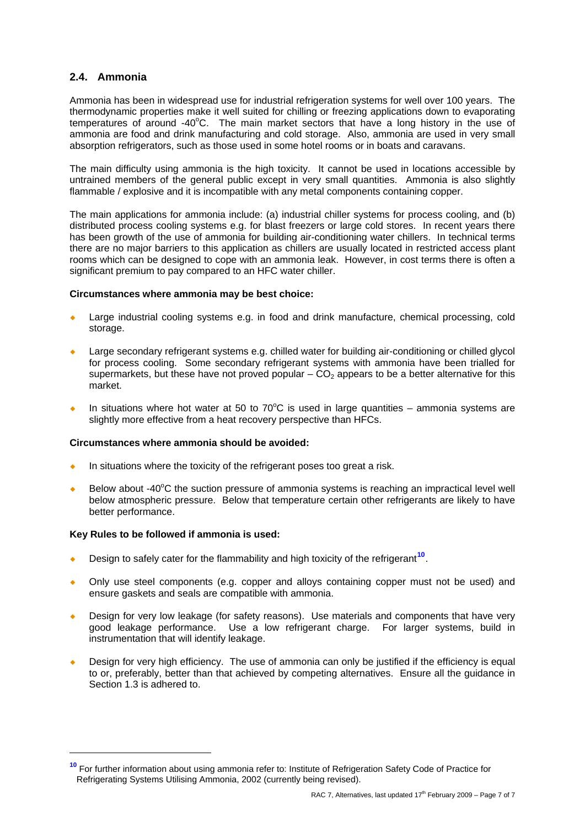### **2.4. Ammonia**

Ammonia has been in widespread use for industrial refrigeration systems for well over 100 years. The thermodynamic properties make it well suited for chilling or freezing applications down to evaporating temperatures of around -40°C. The main market sectors that have a long history in the use of ammonia are food and drink manufacturing and cold storage. Also, ammonia are used in very small absorption refrigerators, such as those used in some hotel rooms or in boats and caravans.

The main difficulty using ammonia is the high toxicity. It cannot be used in locations accessible by untrained members of the general public except in very small quantities. Ammonia is also slightly flammable / explosive and it is incompatible with any metal components containing copper.

The main applications for ammonia include: (a) industrial chiller systems for process cooling, and (b) distributed process cooling systems e.g. for blast freezers or large cold stores. In recent years there has been growth of the use of ammonia for building air-conditioning water chillers. In technical terms there are no major barriers to this application as chillers are usually located in restricted access plant rooms which can be designed to cope with an ammonia leak. However, in cost terms there is often a significant premium to pay compared to an HFC water chiller.

#### **Circumstances where ammonia may be best choice:**

- Large industrial cooling systems e.g. in food and drink manufacture, chemical processing, cold storage.
- Large secondary refrigerant systems e.g. chilled water for building air-conditioning or chilled glycol for process cooling. Some secondary refrigerant systems with ammonia have been trialled for supermarkets, but these have not proved popular  $-CO<sub>2</sub>$  appears to be a better alternative for this market.
- In situations where hot water at 50 to  $70^{\circ}$ C is used in large quantities ammonia systems are slightly more effective from a heat recovery perspective than HFCs.

#### **Circumstances where ammonia should be avoided:**

- In situations where the toxicity of the refrigerant poses too great a risk.
- $\bullet$  Below about -40°C the suction pressure of ammonia systems is reaching an impractical level well below atmospheric pressure. Below that temperature certain other refrigerants are likely to have better performance.

#### **Key Rules to be followed if ammonia is used:**

- Design to safely cater for the flammability and high toxicity of the refrigerant<sup>[10](#page-6-0)</sup>.
- ¡ Only use steel components (e.g. copper and alloys containing copper must not be used) and ensure gaskets and seals are compatible with ammonia.
- Design for very low leakage (for safety reasons). Use materials and components that have very good leakage performance. Use a low refrigerant charge. For larger systems, build in instrumentation that will identify leakage.
- Design for very high efficiency. The use of ammonia can only be justified if the efficiency is equal to or, preferably, better than that achieved by competing alternatives. Ensure all the guidance in Section 1.3 is adhered to.

<span id="page-6-0"></span>**<sup>10</sup>** For further information about using ammonia refer to: Institute of Refrigeration Safety Code of Practice for Refrigerating Systems Utilising Ammonia, 2002 (currently being revised).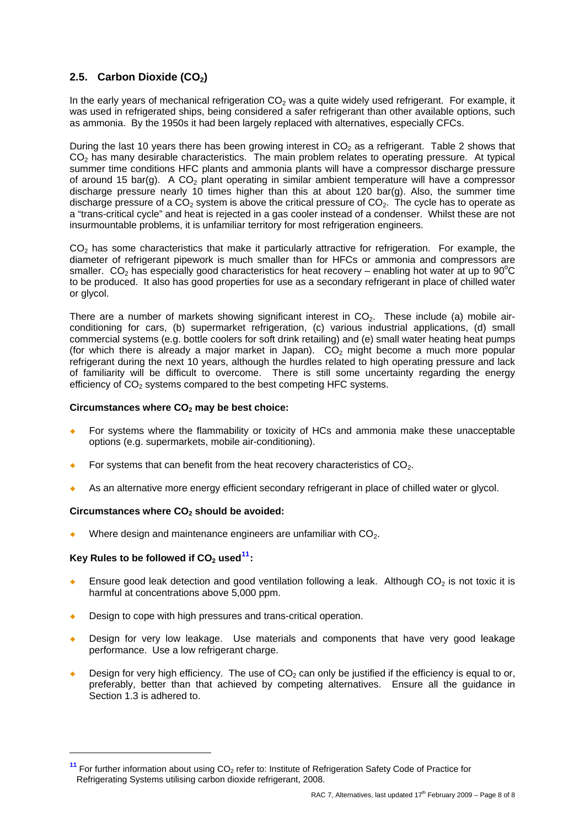# **2.5.** Carbon Dioxide (CO<sub>2</sub>)

In the early years of mechanical refrigeration  $CO<sub>2</sub>$  was a quite widely used refrigerant. For example, it was used in refrigerated ships, being considered a safer refrigerant than other available options, such as ammonia. By the 1950s it had been largely replaced with alternatives, especially CFCs.

During the last 10 years there has been growing interest in  $CO<sub>2</sub>$  as a refrigerant. Table 2 shows that  $CO<sub>2</sub>$  has many desirable characteristics. The main problem relates to operating pressure. At typical summer time conditions HFC plants and ammonia plants will have a compressor discharge pressure of around 15 bar(q). A  $CO<sub>2</sub>$  plant operating in similar ambient temperature will have a compressor discharge pressure nearly 10 times higher than this at about 120 bar(g). Also, the summer time discharge pressure of a  $CO<sub>2</sub>$  system is above the critical pressure of  $CO<sub>2</sub>$ . The cycle has to operate as a "trans-critical cycle" and heat is rejected in a gas cooler instead of a condenser. Whilst these are not insurmountable problems, it is unfamiliar territory for most refrigeration engineers.

 $CO<sub>2</sub>$  has some characteristics that make it particularly attractive for refrigeration. For example, the diameter of refrigerant pipework is much smaller than for HFCs or ammonia and compressors are smaller.  $CO<sub>2</sub>$  has especially good characteristics for heat recovery – enabling hot water at up to 90°C to be produced. It also has good properties for use as a secondary refrigerant in place of chilled water or glycol.

There are a number of markets showing significant interest in  $CO<sub>2</sub>$ . These include (a) mobile airconditioning for cars, (b) supermarket refrigeration, (c) various industrial applications, (d) small commercial systems (e.g. bottle coolers for soft drink retailing) and (e) small water heating heat pumps (for which there is already a major market in Japan).  $CO<sub>2</sub>$  might become a much more popular refrigerant during the next 10 years, although the hurdles related to high operating pressure and lack of familiarity will be difficult to overcome. There is still some uncertainty regarding the energy efficiency of  $CO<sub>2</sub>$  systems compared to the best competing HFC systems.

#### Circumstances where CO<sub>2</sub> may be best choice:

- For systems where the flammability or toxicity of HCs and ammonia make these unacceptable options (e.g. supermarkets, mobile air-conditioning).
- For systems that can benefit from the heat recovery characteristics of  $CO<sub>2</sub>$ .
- As an alternative more energy efficient secondary refrigerant in place of chilled water or glycol.

#### Circumstances where CO<sub>2</sub> should be avoided:

Where design and maintenance engineers are unfamiliar with  $CO<sub>2</sub>$ .

#### Key Rules to be followed if CO<sub>2</sub> used<sup>[11](#page-7-0)</sup>

- Ensure good leak detection and good ventilation following a leak. Although  $CO<sub>2</sub>$  is not toxic it is harmful at concentrations above 5,000 ppm.
- Design to cope with high pressures and trans-critical operation.
- Design for very low leakage. Use materials and components that have very good leakage performance. Use a low refrigerant charge.
- Design for very high efficiency. The use of  $CO<sub>2</sub>$  can only be justified if the efficiency is equal to or, preferably, better than that achieved by competing alternatives. Ensure all the guidance in .<br>Section 1.3 is adhered to.

<span id="page-7-0"></span><sup>&</sup>lt;sup>11</sup> For further information about using CO<sub>2</sub> refer to: Institute of Refrigeration Safety Code of Practice for Refrigerating Systems utilising carbon dioxide refrigerant, 2008.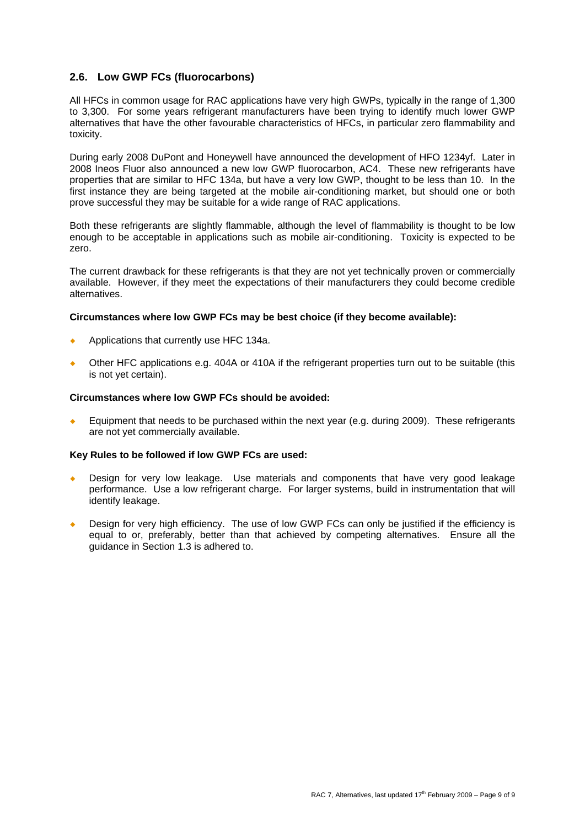### **2.6. Low GWP FCs (fluorocarbons)**

All HFCs in common usage for RAC applications have very high GWPs, typically in the range of 1,300 to 3,300. For some years refrigerant manufacturers have been trying to identify much lower GWP alternatives that have the other favourable characteristics of HFCs, in particular zero flammability and toxicity.

During early 2008 DuPont and Honeywell have announced the development of HFO 1234yf. Later in 2008 Ineos Fluor also announced a new low GWP fluorocarbon, AC4. These new refrigerants have properties that are similar to HFC 134a, but have a very low GWP, thought to be less than 10. In the first instance they are being targeted at the mobile air-conditioning market, but should one or both prove successful they may be suitable for a wide range of RAC applications.

Both these refrigerants are slightly flammable, although the level of flammability is thought to be low enough to be acceptable in applications such as mobile air-conditioning. Toxicity is expected to be zero.

The current drawback for these refrigerants is that they are not yet technically proven or commercially available. However, if they meet the expectations of their manufacturers they could become credible alternatives.

#### **Circumstances where low GWP FCs may be best choice (if they become available):**

- Applications that currently use HFC 134a.
- Other HFC applications e.g. 404A or 410A if the refrigerant properties turn out to be suitable (this is not yet certain).

#### **Circumstances where low GWP FCs should be avoided:**

Equipment that needs to be purchased within the next year (e.g. during 2009). These refrigerants are not yet commercially available.

#### **Key Rules to be followed if low GWP FCs are used:**

- Design for very low leakage. Use materials and components that have very good leakage performance. Use a low refrigerant charge. For larger systems, build in instrumentation that will identify leakage.
- Design for very high efficiency. The use of low GWP FCs can only be justified if the efficiency is equal to or, preferably, better than that achieved by competing alternatives. Ensure all the guidance in Section 1.3 is adhered to.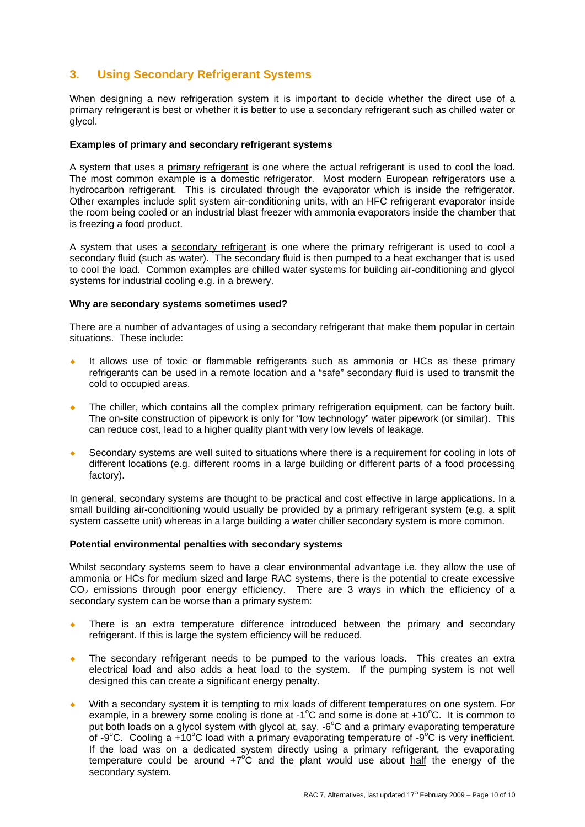# **3. Using Secondary Refrigerant Systems**

When designing a new refrigeration system it is important to decide whether the direct use of a primary refrigerant is best or whether it is better to use a secondary refrigerant such as chilled water or glycol.

#### **Examples of primary and secondary refrigerant systems**

A system that uses a primary refrigerant is one where the actual refrigerant is used to cool the load. The most common example is a domestic refrigerator. Most modern European refrigerators use a hydrocarbon refrigerant. This is circulated through the evaporator which is inside the refrigerator. Other examples include split system air-conditioning units, with an HFC refrigerant evaporator inside the room being cooled or an industrial blast freezer with ammonia evaporators inside the chamber that is freezing a food product.

A system that uses a secondary refrigerant is one where the primary refrigerant is used to cool a secondary fluid (such as water). The secondary fluid is then pumped to a heat exchanger that is used to cool the load. Common examples are chilled water systems for building air-conditioning and glycol systems for industrial cooling e.g. in a brewery.

#### **Why are secondary systems sometimes used?**

There are a number of advantages of using a secondary refrigerant that make them popular in certain situations. These include:

- ¡ It allows use of toxic or flammable refrigerants such as ammonia or HCs as these primary refrigerants can be used in a remote location and a "safe" secondary fluid is used to transmit the cold to occupied areas.
- The chiller, which contains all the complex primary refrigeration equipment, can be factory built. The on-site construction of pipework is only for "low technology" water pipework (or similar). This can reduce cost, lead to a higher quality plant with very low levels of leakage.
- Secondary systems are well suited to situations where there is a requirement for cooling in lots of different locations (e.g. different rooms in a large building or different parts of a food processing factory).

In general, secondary systems are thought to be practical and cost effective in large applications. In a small building air-conditioning would usually be provided by a primary refrigerant system (e.g. a split system cassette unit) whereas in a large building a water chiller secondary system is more common.

#### **Potential environmental penalties with secondary systems**

Whilst secondary systems seem to have a clear environmental advantage i.e. they allow the use of ammonia or HCs for medium sized and large RAC systems, there is the potential to create excessive  $CO<sub>2</sub>$  emissions through poor energy efficiency. There are 3 ways in which the efficiency of a secondary system can be worse than a primary system:

- There is an extra temperature difference introduced between the primary and secondary refrigerant. If this is large the system efficiency will be reduced.
- The secondary refrigerant needs to be pumped to the various loads. This creates an extra electrical load and also adds a heat load to the system. If the pumping system is not well designed this can create a significant energy penalty.
- With a secondary system it is tempting to mix loads of different temperatures on one system. For example, in a brewery some cooling is done at -1<sup>o</sup>C and some is done at +10<sup>o</sup>C. It is common to put both loads on a glycol system with glycol at, say, -6°C and a primary evaporating temperature of -9 $\degree$ C. Cooling a +10 $\degree$ C load with a primary evaporating temperature of -9 $\degree$ C is very inefficient. If the load was on a dedicated system directly using a primary refrigerant, the evaporating temperature could be around  $+7^{\circ}\text{C}$  and the plant would use about half the energy of the secondary system.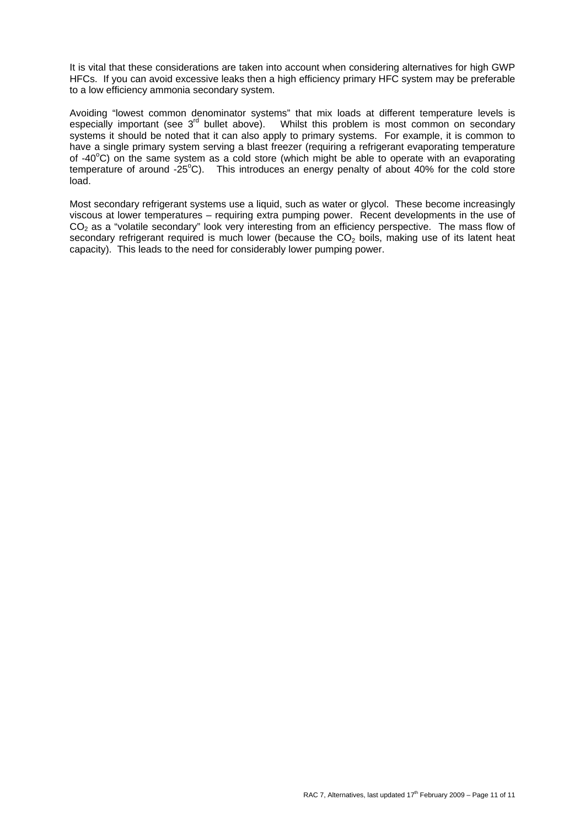It is vital that these considerations are taken into account when considering alternatives for high GWP HFCs. If you can avoid excessive leaks then a high efficiency primary HFC system may be preferable to a low efficiency ammonia secondary system.

Avoiding "lowest common denominator systems" that mix loads at different temperature levels is especially important (see  $3<sup>rd</sup>$  bullet above). Whilst this problem is most common on secondary systems it should be noted that it can also apply to primary systems. For example, it is common to have a single primary system serving a blast freezer (requiring a refrigerant evaporating temperature of -40°C) on the same system as a cold store (which might be able to operate with an evaporating temperature of around -25°C). This introduces an energy penalty of about 40% for the cold store load.

Most secondary refrigerant systems use a liquid, such as water or glycol. These become increasingly viscous at lower temperatures – requiring extra pumping power. Recent developments in the use of  $CO<sub>2</sub>$  as a "volatile secondary" look very interesting from an efficiency perspective. The mass flow of secondary refrigerant required is much lower (because the  $CO<sub>2</sub>$  boils, making use of its latent heat capacity). This leads to the need for considerably lower pumping power.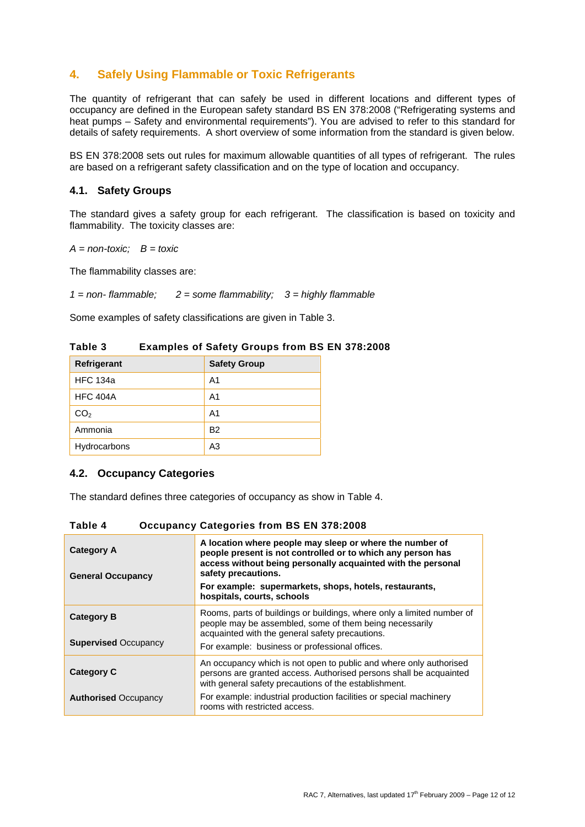# **4. Safely Using Flammable or Toxic Refrigerants**

The quantity of refrigerant that can safely be used in different locations and different types of occupancy are defined in the European safety standard BS EN 378:2008 ("Refrigerating systems and heat pumps – Safety and environmental requirements"). You are advised to refer to this standard for details of safety requirements. A short overview of some information from the standard is given below.

BS EN 378:2008 sets out rules for maximum allowable quantities of all types of refrigerant. The rules are based on a refrigerant safety classification and on the type of location and occupancy.

#### **4.1. Safety Groups**

The standard gives a safety group for each refrigerant. The classification is based on toxicity and flammability. The toxicity classes are:

*A = non-toxic; B = toxic* 

The flammability classes are:

*1 = non- flammable; 2 = some flammability; 3 = highly flammable* 

Some examples of safety classifications are given in Table 3.

| Refrigerant     | <b>Safety Group</b> |  |
|-----------------|---------------------|--|
| <b>HFC 134a</b> | A1                  |  |
| <b>HFC 404A</b> | A1                  |  |
| CO <sub>2</sub> | A <sub>1</sub>      |  |
| Ammonia         | <b>B2</b>           |  |
| Hydrocarbons    | A <sub>3</sub>      |  |
|                 |                     |  |

**Table 3 Examples of Safety Groups from BS EN 378:2008** 

#### **4.2. Occupancy Categories**

The standard defines three categories of occupancy as show in Table 4.

| <b>Category A</b><br><b>General Occupancy</b>    | A location where people may sleep or where the number of<br>people present is not controlled or to which any person has<br>access without being personally acquainted with the personal<br>safety precautions.<br>For example: supermarkets, shops, hotels, restaurants,<br>hospitals, courts, schools |  |  |
|--------------------------------------------------|--------------------------------------------------------------------------------------------------------------------------------------------------------------------------------------------------------------------------------------------------------------------------------------------------------|--|--|
| <b>Category B</b><br><b>Supervised Occupancy</b> | Rooms, parts of buildings or buildings, where only a limited number of<br>people may be assembled, some of them being necessarily<br>acquainted with the general safety precautions.<br>For example: business or professional offices.                                                                 |  |  |
| <b>Category C</b><br><b>Authorised Occupancy</b> | An occupancy which is not open to public and where only authorised<br>persons are granted access. Authorised persons shall be acquainted<br>with general safety precautions of the establishment.<br>For example: industrial production facilities or special machinery                                |  |  |
|                                                  | rooms with restricted access.                                                                                                                                                                                                                                                                          |  |  |

**Table 4 Occupancy Categories from BS EN 378:2008**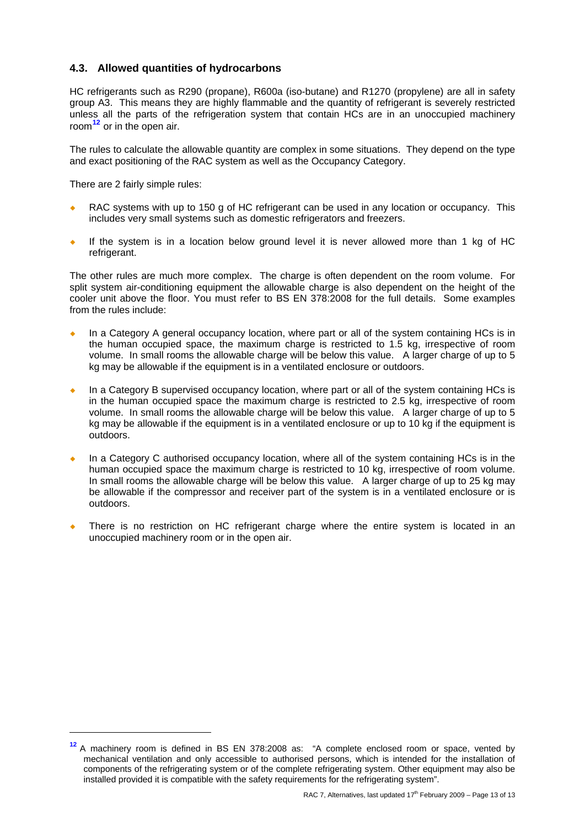# **4.3. Allowed quantities of hydrocarbons**

HC refrigerants such as R290 (propane), R600a (iso-butane) and R1270 (propylene) are all in safety group A3. This means they are highly flammable and the quantity of refrigerant is severely restricted unless all the parts of the refrigeration system that contain HCs are in an unoccupied machinery room**[12](#page-12-0)** or in the open air.

The rules to calculate the allowable quantity are complex in some situations. They depend on the type and exact positioning of the RAC system as well as the Occupancy Category.

There are 2 fairly simple rules:

-

- RAC systems with up to 150 g of HC refrigerant can be used in any location or occupancy. This includes very small systems such as domestic refrigerators and freezers.
- If the system is in a location below ground level it is never allowed more than 1 kg of HC refrigerant.

The other rules are much more complex. The charge is often dependent on the room volume. For split system air-conditioning equipment the allowable charge is also dependent on the height of the cooler unit above the floor. You must refer to BS EN 378:2008 for the full details. Some examples from the rules include:

- In a Category A general occupancy location, where part or all of the system containing HCs is in the human occupied space, the maximum charge is restricted to 1.5 kg, irrespective of room volume. In small rooms the allowable charge will be below this value. A larger charge of up to 5 kg may be allowable if the equipment is in a ventilated enclosure or outdoors.
- In a Category B supervised occupancy location, where part or all of the system containing HCs is in the human occupied space the maximum charge is restricted to 2.5 kg, irrespective of room volume. In small rooms the allowable charge will be below this value. A larger charge of up to 5 kg may be allowable if the equipment is in a ventilated enclosure or up to 10 kg if the equipment is outdoors.
- In a Category C authorised occupancy location, where all of the system containing HCs is in the human occupied space the maximum charge is restricted to 10 kg, irrespective of room volume. In small rooms the allowable charge will be below this value. A larger charge of up to 25 kg may be allowable if the compressor and receiver part of the system is in a ventilated enclosure or is outdoors.
- There is no restriction on HC refrigerant charge where the entire system is located in an unoccupied machinery room or in the open air.

<span id="page-12-0"></span>**<sup>12</sup>** A machinery room is defined in BS EN 378:2008 as: "A complete enclosed room or space, vented by mechanical ventilation and only accessible to authorised persons, which is intended for the installation of components of the refrigerating system or of the complete refrigerating system. Other equipment may also be installed provided it is compatible with the safety requirements for the refrigerating system".